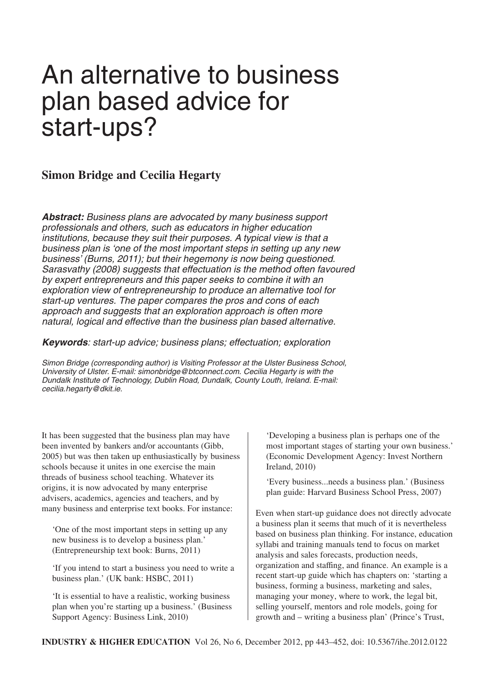# An alternative to business plan based advice for start-ups?

# **Simon Bridge and Cecilia Hegarty**

*Abstract: Business plans are advocated by many business support professionals and others, such as educators in higher education institutions, because they suit their purposes. A typical view is that a business plan is 'one of the most important steps in setting up any new business' (Burns, 2011); but their hegemony is now being questioned. Sarasvathy (2008) suggests that effectuation is the method often favoured by expert entrepreneurs and this paper seeks to combine it with an exploration view of entrepreneurship to produce an alternative tool for start-up ventures. The paper compares the pros and cons of each approach and suggests that an exploration approach is often more natural, logical and effective than the business plan based alternative.*

#### *Keywords: start-up advice; business plans; effectuation; exploration*

*Simon Bridge (corresponding author) is Visiting Professor at the Ulster Business School, University of Ulster. E-mail: simonbridge@btconnect.com. Cecilia Hegarty is with the Dundalk Institute of Technology, Dublin Road, Dundalk, County Louth, Ireland. E-mail: cecilia.hegarty@dkit.ie.*

It has been suggested that the business plan may have been invented by bankers and/or accountants (Gibb, 2005) but was then taken up enthusiastically by business schools because it unites in one exercise the main threads of business school teaching. Whatever its origins, it is now advocated by many enterprise advisers, academics, agencies and teachers, and by many business and enterprise text books. For instance:

'One of the most important steps in setting up any new business is to develop a business plan.' (Entrepreneurship text book: Burns, 2011)

'If you intend to start a business you need to write a business plan.' (UK bank: HSBC, 2011)

'It is essential to have a realistic, working business plan when you're starting up a business.' (Business Support Agency: Business Link, 2010)

'Developing a business plan is perhaps one of the most important stages of starting your own business.' (Economic Development Agency: Invest Northern Ireland, 2010)

'Every business...needs a business plan.' (Business plan guide: Harvard Business School Press, 2007)

Even when start-up guidance does not directly advocate a business plan it seems that much of it is nevertheless based on business plan thinking. For instance, education syllabi and training manuals tend to focus on market analysis and sales forecasts, production needs, organization and staffing, and finance. An example is a recent start-up guide which has chapters on: 'starting a business, forming a business, marketing and sales, managing your money, where to work, the legal bit, selling yourself, mentors and role models, going for growth and – writing a business plan' (Prince's Trust,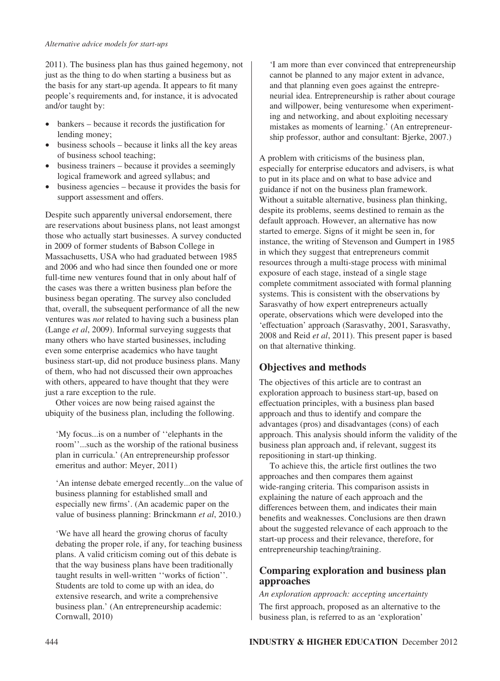#### *Alternative advice models for start-ups*

2011). The business plan has thus gained hegemony, not just as the thing to do when starting a business but as the basis for any start-up agenda. It appears to fit many people's requirements and, for instance, it is advocated and/or taught by:

- bankers because it records the justification for lending money;
- business schools because it links all the key areas of business school teaching;
- business trainers because it provides a seemingly logical framework and agreed syllabus; and
- business agencies because it provides the basis for support assessment and offers.

Despite such apparently universal endorsement, there are reservations about business plans, not least amongst those who actually start businesses. A survey conducted in 2009 of former students of Babson College in Massachusetts, USA who had graduated between 1985 and 2006 and who had since then founded one or more full-time new ventures found that in only about half of the cases was there a written business plan before the business began operating. The survey also concluded that, overall, the subsequent performance of all the new ventures was *not* related to having such a business plan (Lange *et al*, 2009). Informal surveying suggests that many others who have started businesses, including even some enterprise academics who have taught business start-up, did not produce business plans. Many of them, who had not discussed their own approaches with others, appeared to have thought that they were just a rare exception to the rule.

Other voices are now being raised against the ubiquity of the business plan, including the following.

'My focus...is on a number of ''elephants in the room''...such as the worship of the rational business plan in curricula.' (An entrepreneurship professor emeritus and author: Meyer, 2011)

'An intense debate emerged recently...on the value of business planning for established small and especially new firms'. (An academic paper on the value of business planning: Brinckmann *et al*, 2010.)

'We have all heard the growing chorus of faculty debating the proper role, if any, for teaching business plans. A valid criticism coming out of this debate is that the way business plans have been traditionally taught results in well-written ''works of fiction''. Students are told to come up with an idea, do extensive research, and write a comprehensive business plan.' (An entrepreneurship academic: Cornwall, 2010)

'I am more than ever convinced that entrepreneurship cannot be planned to any major extent in advance, and that planning even goes against the entrepreneurial idea. Entrepreneurship is rather about courage and willpower, being venturesome when experimenting and networking, and about exploiting necessary mistakes as moments of learning.' (An entrepreneurship professor, author and consultant: Bjerke, 2007.)

A problem with criticisms of the business plan, especially for enterprise educators and advisers, is what to put in its place and on what to base advice and guidance if not on the business plan framework. Without a suitable alternative, business plan thinking, despite its problems, seems destined to remain as the default approach. However, an alternative has now started to emerge. Signs of it might be seen in, for instance, the writing of Stevenson and Gumpert in 1985 in which they suggest that entrepreneurs commit resources through a multi-stage process with minimal exposure of each stage, instead of a single stage complete commitment associated with formal planning systems. This is consistent with the observations by Sarasvathy of how expert entrepreneurs actually operate, observations which were developed into the 'effectuation' approach (Sarasvathy, 2001, Sarasvathy, 2008 and Reid *et al*, 2011). This present paper is based on that alternative thinking.

# **Objectives and methods**

The objectives of this article are to contrast an exploration approach to business start-up, based on effectuation principles, with a business plan based approach and thus to identify and compare the advantages (pros) and disadvantages (cons) of each approach. This analysis should inform the validity of the business plan approach and, if relevant, suggest its repositioning in start-up thinking.

To achieve this, the article first outlines the two approaches and then compares them against wide-ranging criteria. This comparison assists in explaining the nature of each approach and the differences between them, and indicates their main benefits and weaknesses. Conclusions are then drawn about the suggested relevance of each approach to the start-up process and their relevance, therefore, for entrepreneurship teaching/training.

# **Comparing exploration and business plan approaches**

*An exploration approach: accepting uncertainty*

The first approach, proposed as an alternative to the business plan, is referred to as an 'exploration'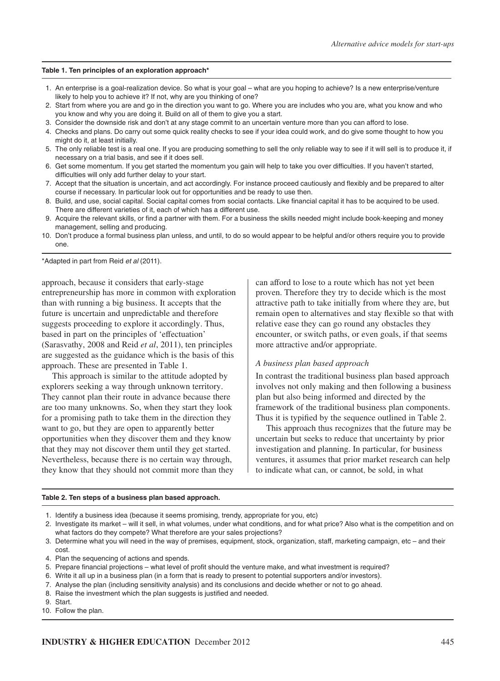#### **Table 1. Ten principles of an exploration approach\***

- 1. An enterprise is a goal-realization device. So what is your goal what are you hoping to achieve? Is a new enterprise/venture likely to help you to achieve it? If not, why are you thinking of one?
- 2. Start from where you are and go in the direction you want to go. Where you are includes who you are, what you know and who you know and why you are doing it. Build on all of them to give you a start.
- 3. Consider the downside risk and don't at any stage commit to an uncertain venture more than you can afford to lose.
- 4. Checks and plans. Do carry out some quick reality checks to see if your idea could work, and do give some thought to how you might do it, at least initially.
- 5. The only reliable test is a real one. If you are producing something to sell the only reliable way to see if it will sell is to produce it, if necessary on a trial basis, and see if it does sell.
- 6. Get some momentum. If you get started the momentum you gain will help to take you over difficulties. If you haven't started, difficulties will only add further delay to your start.
- 7. Accept that the situation is uncertain, and act accordingly. For instance proceed cautiously and flexibly and be prepared to alter course if necessary. In particular look out for opportunities and be ready to use then.
- 8. Build, and use, social capital. Social capital comes from social contacts. Like financial capital it has to be acquired to be used. There are different varieties of it, each of which has a different use.
- 9. Acquire the relevant skills, or find a partner with them. For a business the skills needed might include book-keeping and money management, selling and producing.
- 10. Don't produce a formal business plan unless, and until, to do so would appear to be helpful and/or others require you to provide one.

\*Adapted in part from Reid *et al* (2011).

approach, because it considers that early-stage entrepreneurship has more in common with exploration than with running a big business. It accepts that the future is uncertain and unpredictable and therefore suggests proceeding to explore it accordingly. Thus, based in part on the principles of 'effectuation' (Sarasvathy, 2008 and Reid *et al*, 2011), ten principles are suggested as the guidance which is the basis of this approach. These are presented in Table 1.

This approach is similar to the attitude adopted by explorers seeking a way through unknown territory. They cannot plan their route in advance because there are too many unknowns. So, when they start they look for a promising path to take them in the direction they want to go, but they are open to apparently better opportunities when they discover them and they know that they may not discover them until they get started. Nevertheless, because there is no certain way through, they know that they should not commit more than they can afford to lose to a route which has not yet been proven. Therefore they try to decide which is the most attractive path to take initially from where they are, but remain open to alternatives and stay flexible so that with relative ease they can go round any obstacles they encounter, or switch paths, or even goals, if that seems more attractive and/or appropriate.

#### *A business plan based approach*

In contrast the traditional business plan based approach involves not only making and then following a business plan but also being informed and directed by the framework of the traditional business plan components. Thus it is typified by the sequence outlined in Table 2.

This approach thus recognizes that the future may be uncertain but seeks to reduce that uncertainty by prior investigation and planning. In particular, for business ventures, it assumes that prior market research can help to indicate what can, or cannot, be sold, in what

#### **Table 2. Ten steps of a business plan based approach.**

1. Identify a business idea (because it seems promising, trendy, appropriate for you, etc)

2. Investigate its market – will it sell, in what volumes, under what conditions, and for what price? Also what is the competition and on what factors do they compete? What therefore are your sales projections?

- 3. Determine what you will need in the way of premises, equipment, stock, organization, staff, marketing campaign, etc and their cost.
- 4. Plan the sequencing of actions and spends.
- 5. Prepare financial projections what level of profit should the venture make, and what investment is required?
- 6. Write it all up in a business plan (in a form that is ready to present to potential supporters and/or investors).
- 7. Analyse the plan (including sensitivity analysis) and its conclusions and decide whether or not to go ahead.
- 8. Raise the investment which the plan suggests is justified and needed.

9. Start.

10. Follow the plan.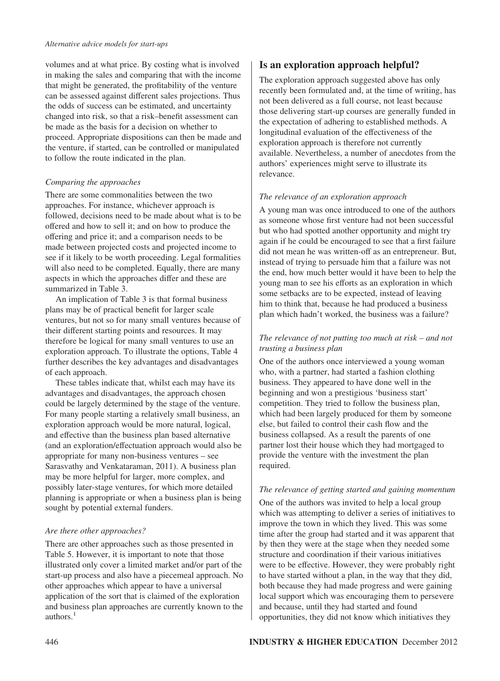volumes and at what price. By costing what is involved in making the sales and comparing that with the income that might be generated, the profitability of the venture can be assessed against different sales projections. Thus the odds of success can be estimated, and uncertainty changed into risk, so that a risk–benefit assessment can be made as the basis for a decision on whether to proceed. Appropriate dispositions can then be made and the venture, if started, can be controlled or manipulated to follow the route indicated in the plan.

## *Comparing the approaches*

There are some commonalities between the two approaches. For instance, whichever approach is followed, decisions need to be made about what is to be offered and how to sell it; and on how to produce the offering and price it; and a comparison needs to be made between projected costs and projected income to see if it likely to be worth proceeding. Legal formalities will also need to be completed. Equally, there are many aspects in which the approaches differ and these are summarized in Table 3.

An implication of Table 3 is that formal business plans may be of practical benefit for larger scale ventures, but not so for many small ventures because of their different starting points and resources. It may therefore be logical for many small ventures to use an exploration approach. To illustrate the options, Table 4 further describes the key advantages and disadvantages of each approach.

These tables indicate that, whilst each may have its advantages and disadvantages, the approach chosen could be largely determined by the stage of the venture. For many people starting a relatively small business, an exploration approach would be more natural, logical, and effective than the business plan based alternative (and an exploration/effectuation approach would also be appropriate for many non-business ventures – see Sarasvathy and Venkataraman, 2011). A business plan may be more helpful for larger, more complex, and possibly later-stage ventures, for which more detailed planning is appropriate or when a business plan is being sought by potential external funders.

## *Are there other approaches?*

There are other approaches such as those presented in Table 5. However, it is important to note that those illustrated only cover a limited market and/or part of the start-up process and also have a piecemeal approach. No other approaches which appear to have a universal application of the sort that is claimed of the exploration and business plan approaches are currently known to the authors. $<sup>1</sup>$ </sup>

# **Is an exploration approach helpful?**

The exploration approach suggested above has only recently been formulated and, at the time of writing, has not been delivered as a full course, not least because those delivering start-up courses are generally funded in the expectation of adhering to established methods. A longitudinal evaluation of the effectiveness of the exploration approach is therefore not currently available. Nevertheless, a number of anecdotes from the authors' experiences might serve to illustrate its relevance.

## *The relevance of an exploration approach*

A young man was once introduced to one of the authors as someone whose first venture had not been successful but who had spotted another opportunity and might try again if he could be encouraged to see that a first failure did not mean he was written-off as an entrepreneur. But, instead of trying to persuade him that a failure was not the end, how much better would it have been to help the young man to see his efforts as an exploration in which some setbacks are to be expected, instead of leaving him to think that, because he had produced a business plan which hadn't worked, the business was a failure?

## *The relevance of not putting too much at risk – and not trusting a business plan*

One of the authors once interviewed a young woman who, with a partner, had started a fashion clothing business. They appeared to have done well in the beginning and won a prestigious 'business start' competition. They tried to follow the business plan, which had been largely produced for them by someone else, but failed to control their cash flow and the business collapsed. As a result the parents of one partner lost their house which they had mortgaged to provide the venture with the investment the plan required.

## *The relevance of getting started and gaining momentum*

One of the authors was invited to help a local group which was attempting to deliver a series of initiatives to improve the town in which they lived. This was some time after the group had started and it was apparent that by then they were at the stage when they needed some structure and coordination if their various initiatives were to be effective. However, they were probably right to have started without a plan, in the way that they did, both because they had made progress and were gaining local support which was encouraging them to persevere and because, until they had started and found opportunities, they did not know which initiatives they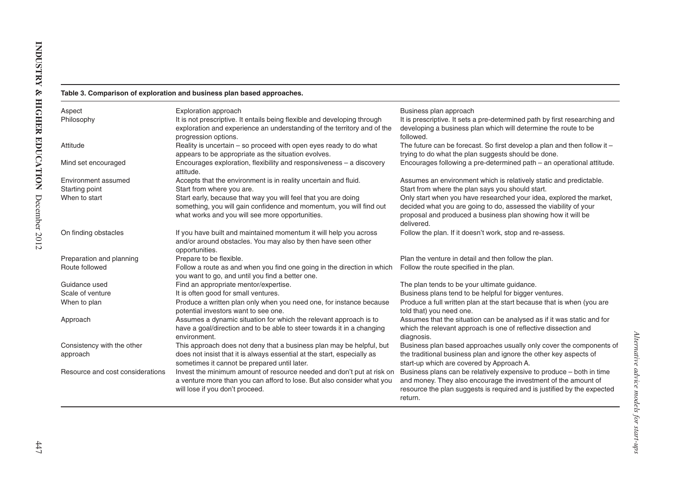#### **Table 3. Comparison of exploration and business plan based approaches.**

| Aspect                           | Exploration approach                                                                                                                                                                     | Business plan approach                                                                                                                                                                                                       |
|----------------------------------|------------------------------------------------------------------------------------------------------------------------------------------------------------------------------------------|------------------------------------------------------------------------------------------------------------------------------------------------------------------------------------------------------------------------------|
| Philosophy                       | It is not prescriptive. It entails being flexible and developing through<br>exploration and experience an understanding of the territory and of the<br>progression options.              | It is prescriptive. It sets a pre-determined path by first researching and<br>developing a business plan which will determine the route to be<br>followed.                                                                   |
| Attitude                         | Reality is uncertain – so proceed with open eyes ready to do what<br>appears to be appropriate as the situation evolves.                                                                 | The future can be forecast. So first develop a plan and then follow it $-$<br>trying to do what the plan suggests should be done.                                                                                            |
| Mind set encouraged              | Encourages exploration, flexibility and responsiveness - a discovery<br>attitude.                                                                                                        | Encourages following a pre-determined path - an operational attitude.                                                                                                                                                        |
| Environment assumed              | Accepts that the environment is in reality uncertain and fluid.                                                                                                                          | Assumes an environment which is relatively static and predictable.                                                                                                                                                           |
| Starting point                   | Start from where you are.                                                                                                                                                                | Start from where the plan says you should start.                                                                                                                                                                             |
| When to start                    | Start early, because that way you will feel that you are doing<br>something, you will gain confidence and momentum, you will find out<br>what works and you will see more opportunities. | Only start when you have researched your idea, explored the market,<br>decided what you are going to do, assessed the viability of your<br>proposal and produced a business plan showing how it will be<br>delivered.        |
| On finding obstacles             | If you have built and maintained momentum it will help you across<br>and/or around obstacles. You may also by then have seen other<br>opportunities.                                     | Follow the plan. If it doesn't work, stop and re-assess.                                                                                                                                                                     |
| Preparation and planning         | Prepare to be flexible.                                                                                                                                                                  | Plan the venture in detail and then follow the plan.                                                                                                                                                                         |
| Route followed                   | Follow a route as and when you find one going in the direction in which<br>you want to go, and until you find a better one.                                                              | Follow the route specified in the plan.                                                                                                                                                                                      |
| Guidance used                    | Find an appropriate mentor/expertise.                                                                                                                                                    | The plan tends to be your ultimate guidance.                                                                                                                                                                                 |
| Scale of venture                 | It is often good for small ventures.                                                                                                                                                     | Business plans tend to be helpful for bigger ventures.                                                                                                                                                                       |
| When to plan                     | Produce a written plan only when you need one, for instance because<br>potential investors want to see one.                                                                              | Produce a full written plan at the start because that is when (you are<br>told that) you need one.                                                                                                                           |
| Approach                         | Assumes a dynamic situation for which the relevant approach is to<br>have a goal/direction and to be able to steer towards it in a changing<br>environment.                              | Assumes that the situation can be analysed as if it was static and for<br>which the relevant approach is one of reflective dissection and<br>diagnosis.                                                                      |
| Consistency with the other       | This approach does not deny that a business plan may be helpful, but                                                                                                                     | Business plan based approaches usually only cover the components of                                                                                                                                                          |
| approach                         | does not insist that it is always essential at the start, especially as<br>sometimes it cannot be prepared until later.                                                                  | the traditional business plan and ignore the other key aspects of<br>start-up which are covered by Approach A.                                                                                                               |
| Resource and cost considerations | Invest the minimum amount of resource needed and don't put at risk on<br>a venture more than you can afford to lose. But also consider what you<br>will lose if you don't proceed.       | Business plans can be relatively expensive to produce - both in time<br>and money. They also encourage the investment of the amount of<br>resource the plan suggests is required and is justified by the expected<br>return. |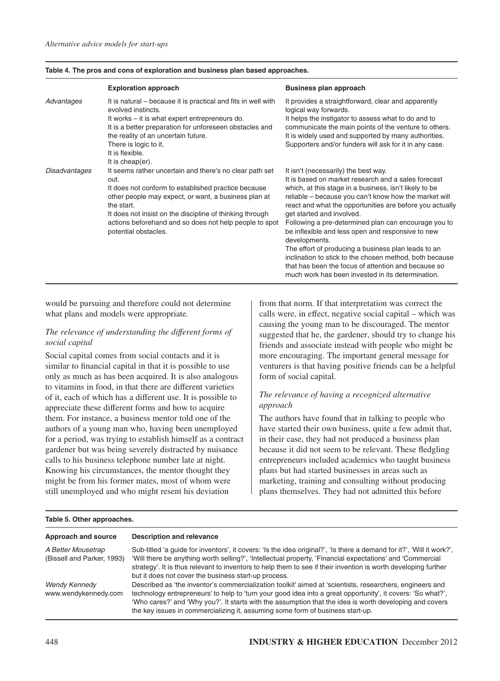|               | <b>Exploration approach</b>                                                                                                                                                                                                                                                                                                                | <b>Business plan approach</b>                                                                                                                                                                                                                                                                                                                                                                                                                                                                                                                                                                                                                                       |
|---------------|--------------------------------------------------------------------------------------------------------------------------------------------------------------------------------------------------------------------------------------------------------------------------------------------------------------------------------------------|---------------------------------------------------------------------------------------------------------------------------------------------------------------------------------------------------------------------------------------------------------------------------------------------------------------------------------------------------------------------------------------------------------------------------------------------------------------------------------------------------------------------------------------------------------------------------------------------------------------------------------------------------------------------|
| Advantages    | It is natural – because it is practical and fits in well with<br>evolved instincts.<br>It works – it is what expert entrepreneurs do.<br>It is a better preparation for unforeseen obstacles and<br>the reality of an uncertain future.<br>There is logic to it.<br>It is flexible.<br>It is cheap(er).                                    | It provides a straightforward, clear and apparently<br>logical way forwards.<br>It helps the instigator to assess what to do and to<br>communicate the main points of the venture to others.<br>It is widely used and supported by many authorities.<br>Supporters and/or funders will ask for it in any case.                                                                                                                                                                                                                                                                                                                                                      |
| Disadvantages | It seems rather uncertain and there's no clear path set<br>out.<br>It does not conform to established practice because<br>other people may expect, or want, a business plan at<br>the start.<br>It does not insist on the discipline of thinking through<br>actions beforehand and so does not help people to spot<br>potential obstacles. | It isn't (necessarily) the best way.<br>It is based on market research and a sales forecast<br>which, at this stage in a business, isn't likely to be<br>reliable – because you can't know how the market will<br>react and what the opportunities are before you actually<br>get started and involved.<br>Following a pre-determined plan can encourage you to<br>be inflexible and less open and responsive to new<br>developments.<br>The effort of producing a business plan leads to an<br>inclination to stick to the chosen method, both because<br>that has been the focus of attention and because so<br>much work has been invested in its determination. |

## **Table 4. The pros and cons of exploration and business plan based approaches.**

would be pursuing and therefore could not determine what plans and models were appropriate.

## *The relevance of understanding the different forms of social capital*

Social capital comes from social contacts and it is similar to financial capital in that it is possible to use only as much as has been acquired. It is also analogous to vitamins in food, in that there are different varieties of it, each of which has a different use. It is possible to appreciate these different forms and how to acquire them. For instance, a business mentor told one of the authors of a young man who, having been unemployed for a period, was trying to establish himself as a contract gardener but was being severely distracted by nuisance calls to his business telephone number late at night. Knowing his circumstances, the mentor thought they might be from his former mates, most of whom were still unemployed and who might resent his deviation

from that norm. If that interpretation was correct the calls were, in effect, negative social capital – which was causing the young man to be discouraged. The mentor suggested that he, the gardener, should try to change his friends and associate instead with people who might be more encouraging. The important general message for venturers is that having positive friends can be a helpful form of social capital.

#### *The relevance of having a recognized alternative approach*

The authors have found that in talking to people who have started their own business, quite a few admit that, in their case, they had not produced a business plan because it did not seem to be relevant. These fledgling entrepreneurs included academics who taught business plans but had started businesses in areas such as marketing, training and consulting without producing plans themselves. They had not admitted this before

#### **Table 5. Other approaches.**

| Approach and source        | <b>Description and relevance</b>                                                                                      |
|----------------------------|-----------------------------------------------------------------------------------------------------------------------|
| A Better Mousetrap         | Sub-titled 'a guide for inventors', it covers: 'Is the idea original?', 'Is there a demand for it?', 'Will it work?', |
| (Bissell and Parker, 1993) | 'Will there be anything worth selling?', 'Intellectual property, 'Financial expectations' and 'Commercial             |
|                            | strategy'. It is thus relevant to inventors to help them to see if their invention is worth developing further        |
|                            | but it does not cover the business start-up process.                                                                  |
| <b>Wendy Kennedy</b>       | Described as 'the inventor's commercialization toolkit' aimed at 'scientists, researchers, engineers and              |
| www.wendykennedy.com       | technology entrepreneurs' to help to 'turn your good idea into a great opportunity', it covers: 'So what?',           |
|                            | 'Who cares?' and 'Why you?'. It starts with the assumption that the idea is worth developing and covers               |
|                            | the key issues in commercializing it, assuming some form of business start-up.                                        |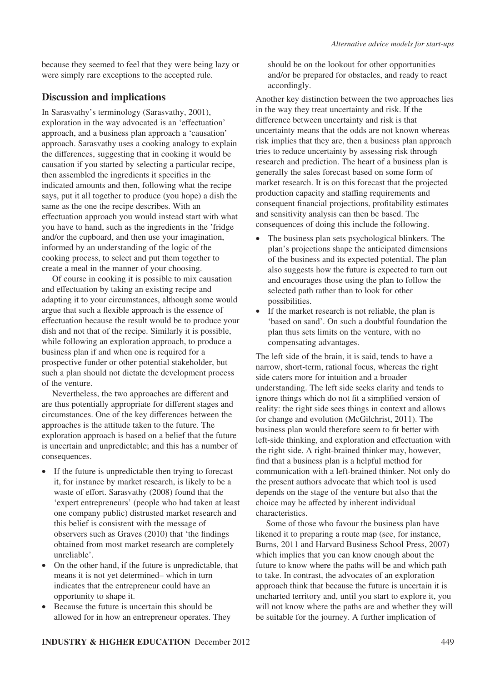because they seemed to feel that they were being lazy or were simply rare exceptions to the accepted rule.

## **Discussion and implications**

In Sarasvathy's terminology (Sarasvathy, 2001), exploration in the way advocated is an 'effectuation' approach, and a business plan approach a 'causation' approach. Sarasvathy uses a cooking analogy to explain the differences, suggesting that in cooking it would be causation if you started by selecting a particular recipe, then assembled the ingredients it specifies in the indicated amounts and then, following what the recipe says, put it all together to produce (you hope) a dish the same as the one the recipe describes. With an effectuation approach you would instead start with what you have to hand, such as the ingredients in the 'fridge and/or the cupboard, and then use your imagination, informed by an understanding of the logic of the cooking process, to select and put them together to create a meal in the manner of your choosing.

Of course in cooking it is possible to mix causation and effectuation by taking an existing recipe and adapting it to your circumstances, although some would argue that such a flexible approach is the essence of effectuation because the result would be to produce your dish and not that of the recipe. Similarly it is possible, while following an exploration approach, to produce a business plan if and when one is required for a prospective funder or other potential stakeholder, but such a plan should not dictate the development process of the venture.

Nevertheless, the two approaches are different and are thus potentially appropriate for different stages and circumstances. One of the key differences between the approaches is the attitude taken to the future. The exploration approach is based on a belief that the future is uncertain and unpredictable; and this has a number of consequences.

- If the future is unpredictable then trying to forecast it, for instance by market research, is likely to be a waste of effort. Sarasvathy (2008) found that the 'expert entrepreneurs' (people who had taken at least one company public) distrusted market research and this belief is consistent with the message of observers such as Graves (2010) that 'the findings obtained from most market research are completely unreliable'.
- On the other hand, if the future is unpredictable, that means it is not yet determined– which in turn indicates that the entrepreneur could have an opportunity to shape it.
- Because the future is uncertain this should be allowed for in how an entrepreneur operates. They

should be on the lookout for other opportunities and/or be prepared for obstacles, and ready to react accordingly.

Another key distinction between the two approaches lies in the way they treat uncertainty and risk. If the difference between uncertainty and risk is that uncertainty means that the odds are not known whereas risk implies that they are, then a business plan approach tries to reduce uncertainty by assessing risk through research and prediction. The heart of a business plan is generally the sales forecast based on some form of market research. It is on this forecast that the projected production capacity and staffing requirements and consequent financial projections, profitability estimates and sensitivity analysis can then be based. The consequences of doing this include the following.

- The business plan sets psychological blinkers. The plan's projections shape the anticipated dimensions of the business and its expected potential. The plan also suggests how the future is expected to turn out and encourages those using the plan to follow the selected path rather than to look for other possibilities.
- If the market research is not reliable, the plan is 'based on sand'. On such a doubtful foundation the plan thus sets limits on the venture, with no compensating advantages.

The left side of the brain, it is said, tends to have a narrow, short-term, rational focus, whereas the right side caters more for intuition and a broader understanding. The left side seeks clarity and tends to ignore things which do not fit a simplified version of reality: the right side sees things in context and allows for change and evolution (McGilchrist, 2011). The business plan would therefore seem to fit better with left-side thinking, and exploration and effectuation with the right side. A right-brained thinker may, however, find that a business plan is a helpful method for communication with a left-brained thinker. Not only do the present authors advocate that which tool is used depends on the stage of the venture but also that the choice may be affected by inherent individual characteristics.

Some of those who favour the business plan have likened it to preparing a route map (see, for instance, Burns, 2011 and Harvard Business School Press, 2007) which implies that you can know enough about the future to know where the paths will be and which path to take. In contrast, the advocates of an exploration approach think that because the future is uncertain it is uncharted territory and, until you start to explore it, you will not know where the paths are and whether they will be suitable for the journey. A further implication of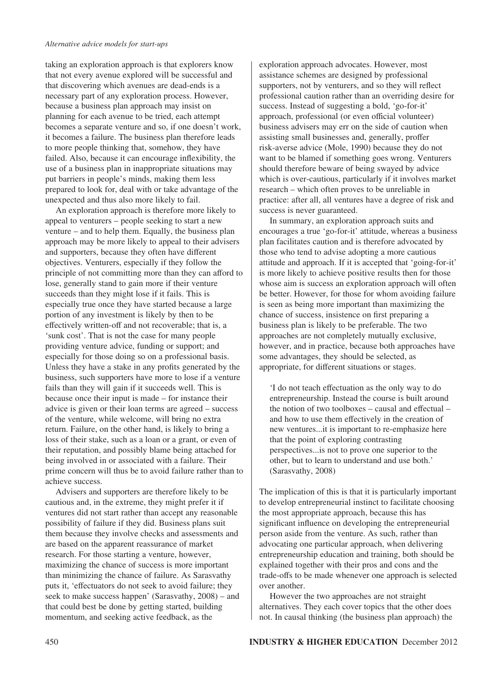#### *Alternative advice models for start-ups*

taking an exploration approach is that explorers know that not every avenue explored will be successful and that discovering which avenues are dead-ends is a necessary part of any exploration process. However, because a business plan approach may insist on planning for each avenue to be tried, each attempt becomes a separate venture and so, if one doesn't work, it becomes a failure. The business plan therefore leads to more people thinking that, somehow, they have failed. Also, because it can encourage inflexibility, the use of a business plan in inappropriate situations may put barriers in people's minds, making them less prepared to look for, deal with or take advantage of the unexpected and thus also more likely to fail.

An exploration approach is therefore more likely to appeal to venturers – people seeking to start a new venture – and to help them. Equally, the business plan approach may be more likely to appeal to their advisers and supporters, because they often have different objectives. Venturers, especially if they follow the principle of not committing more than they can afford to lose, generally stand to gain more if their venture succeeds than they might lose if it fails. This is especially true once they have started because a large portion of any investment is likely by then to be effectively written-off and not recoverable; that is, a 'sunk cost'. That is not the case for many people providing venture advice, funding or support; and especially for those doing so on a professional basis. Unless they have a stake in any profits generated by the business, such supporters have more to lose if a venture fails than they will gain if it succeeds well. This is because once their input is made – for instance their advice is given or their loan terms are agreed – success of the venture, while welcome, will bring no extra return. Failure, on the other hand, is likely to bring a loss of their stake, such as a loan or a grant, or even of their reputation, and possibly blame being attached for being involved in or associated with a failure. Their prime concern will thus be to avoid failure rather than to achieve success.

Advisers and supporters are therefore likely to be cautious and, in the extreme, they might prefer it if ventures did not start rather than accept any reasonable possibility of failure if they did. Business plans suit them because they involve checks and assessments and are based on the apparent reassurance of market research. For those starting a venture, however, maximizing the chance of success is more important than minimizing the chance of failure. As Sarasvathy puts it, 'effectuators do not seek to avoid failure; they seek to make success happen' (Sarasvathy, 2008) – and that could best be done by getting started, building momentum, and seeking active feedback, as the

exploration approach advocates. However, most assistance schemes are designed by professional supporters, not by venturers, and so they will reflect professional caution rather than an overriding desire for success. Instead of suggesting a bold, 'go-for-it' approach, professional (or even official volunteer) business advisers may err on the side of caution when assisting small businesses and, generally, proffer risk-averse advice (Mole, 1990) because they do not want to be blamed if something goes wrong. Venturers should therefore beware of being swayed by advice which is over-cautious, particularly if it involves market research – which often proves to be unreliable in practice: after all, all ventures have a degree of risk and success is never guaranteed.

In summary, an exploration approach suits and encourages a true 'go-for-it' attitude, whereas a business plan facilitates caution and is therefore advocated by those who tend to advise adopting a more cautious attitude and approach. If it is accepted that 'going-for-it' is more likely to achieve positive results then for those whose aim is success an exploration approach will often be better. However, for those for whom avoiding failure is seen as being more important than maximizing the chance of success, insistence on first preparing a business plan is likely to be preferable. The two approaches are not completely mutually exclusive, however, and in practice, because both approaches have some advantages, they should be selected, as appropriate, for different situations or stages.

'I do not teach effectuation as the only way to do entrepreneurship. Instead the course is built around the notion of two toolboxes – causal and effectual – and how to use them effectively in the creation of new ventures...it is important to re-emphasize here that the point of exploring contrasting perspectives...is not to prove one superior to the other, but to learn to understand and use both.' (Sarasvathy, 2008)

The implication of this is that it is particularly important to develop entrepreneurial instinct to facilitate choosing the most appropriate approach, because this has significant influence on developing the entrepreneurial person aside from the venture. As such, rather than advocating one particular approach, when delivering entrepreneurship education and training, both should be explained together with their pros and cons and the trade-offs to be made whenever one approach is selected over another.

However the two approaches are not straight alternatives. They each cover topics that the other does not. In causal thinking (the business plan approach) the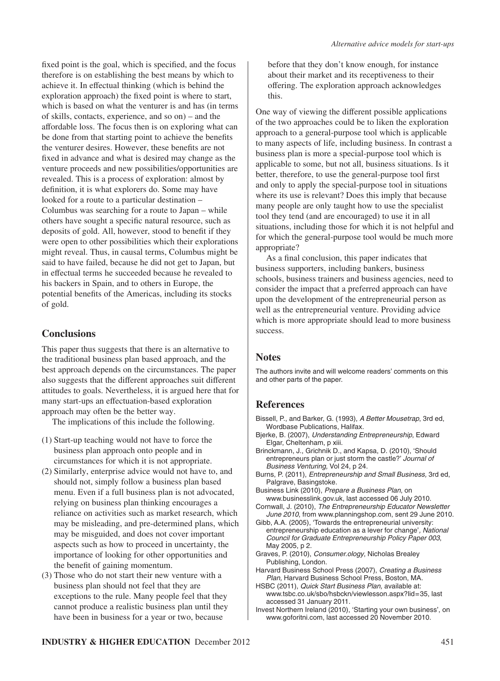fixed point is the goal, which is specified, and the focus therefore is on establishing the best means by which to achieve it. In effectual thinking (which is behind the exploration approach) the fixed point is where to start, which is based on what the venturer is and has (in terms of skills, contacts, experience, and so on) – and the affordable loss. The focus then is on exploring what can be done from that starting point to achieve the benefits the venturer desires. However, these benefits are not fixed in advance and what is desired may change as the venture proceeds and new possibilities/opportunities are revealed. This is a process of exploration: almost by definition, it is what explorers do. Some may have looked for a route to a particular destination – Columbus was searching for a route to Japan – while others have sought a specific natural resource, such as deposits of gold. All, however, stood to benefit if they were open to other possibilities which their explorations might reveal. Thus, in causal terms, Columbus might be said to have failed, because he did not get to Japan, but in effectual terms he succeeded because he revealed to his backers in Spain, and to others in Europe, the potential benefits of the Americas, including its stocks of gold.

## **Conclusions**

This paper thus suggests that there is an alternative to the traditional business plan based approach, and the best approach depends on the circumstances. The paper also suggests that the different approaches suit different attitudes to goals. Nevertheless, it is argued here that for many start-ups an effectuation-based exploration approach may often be the better way.

The implications of this include the following.

- (1) Start-up teaching would not have to force the business plan approach onto people and in circumstances for which it is not appropriate.
- (2) Similarly, enterprise advice would not have to, and should not, simply follow a business plan based menu. Even if a full business plan is not advocated, relying on business plan thinking encourages a reliance on activities such as market research, which may be misleading, and pre-determined plans, which may be misguided, and does not cover important aspects such as how to proceed in uncertainty, the importance of looking for other opportunities and the benefit of gaining momentum.
- (3) Those who do not start their new venture with a business plan should not feel that they are exceptions to the rule. Many people feel that they cannot produce a realistic business plan until they have been in business for a year or two, because

before that they don't know enough, for instance about their market and its receptiveness to their offering. The exploration approach acknowledges this.

One way of viewing the different possible applications of the two approaches could be to liken the exploration approach to a general-purpose tool which is applicable to many aspects of life, including business. In contrast a business plan is more a special-purpose tool which is applicable to some, but not all, business situations. Is it better, therefore, to use the general-purpose tool first and only to apply the special-purpose tool in situations where its use is relevant? Does this imply that because many people are only taught how to use the specialist tool they tend (and are encouraged) to use it in all situations, including those for which it is not helpful and for which the general-purpose tool would be much more appropriate?

As a final conclusion, this paper indicates that business supporters, including bankers, business schools, business trainers and business agencies, need to consider the impact that a preferred approach can have upon the development of the entrepreneurial person as well as the entrepreneurial venture. Providing advice which is more appropriate should lead to more business success.

#### **Notes**

The authors invite and will welcome readers' comments on this and other parts of the paper.

#### **References**

- Bissell, P., and Barker, G. (1993), *A Better Mousetrap*, 3rd ed, Wordbase Publications, Halifax.
- Bjerke, B. (2007), *Understanding Entrepreneurship*, Edward Elgar, Cheltenham, p xiii.
- Brinckmann, J., Grichnik D., and Kapsa, D. (2010), 'Should entrepreneurs plan or just storm the castle?' *Journal of Business Venturing,* Vol 24, p 24.
- Burns, P. (2011), *Entrepreneurship and Small Business,* 3rd ed, Palgrave, Basingstoke.
- Business Link (2010), *Prepare a Business Plan*, on www.businesslink.gov.uk, last accessed 06 July 2010.
- Cornwall, J. (2010), *The Entrepreneurship Educator Newsletter June 2010*, from www.planningshop.com, sent 29 June 2010.
- Gibb, A.A. (2005), 'Towards the entrepreneurial university: entrepreneurship education as a lever for change'*, National Council for Graduate Entrepreneurship Policy Paper 003*, May 2005, p 2.
- Graves, P. (2010), *Consumer.ology*, Nicholas Brealey Publishing, London.
- Harvard Business School Press (2007), *Creating a Business Plan,* Harvard Business School Press, Boston, MA.
- HSBC (2011), *Quick Start Business Plan,* available at: www.tsbc.co.uk/sbo/hsbckn/viewlesson.aspx?lid=35, last accessed 31 January 2011.
- Invest Northern Ireland (2010), 'Starting your own business', on www.goforitni.com, last accessed 20 November 2010.